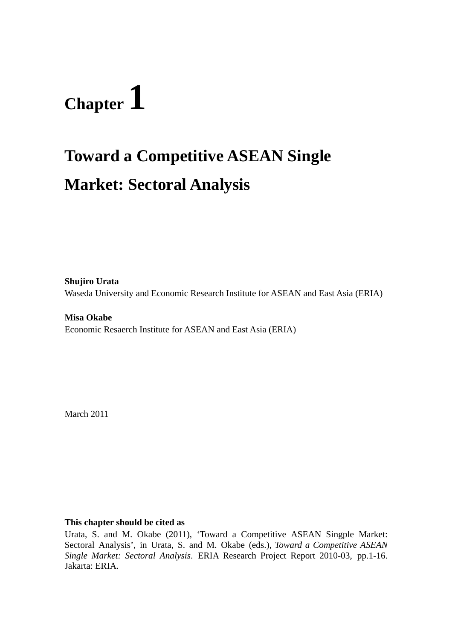# **Chapter 1**

# **Toward a Competitive ASEAN Single Market: Sectoral Analysis**

**Shujiro Urata**  Waseda University and Economic Research Institute for ASEAN and East Asia (ERIA)

**Misa Okabe**  Economic Resaerch Institute for ASEAN and East Asia (ERIA)

March 2011

#### **This chapter should be cited as**

Urata, S. and M. Okabe (2011), 'Toward a Competitive ASEAN Singple Market: Sectoral Analysis', in Urata, S. and M. Okabe (eds.), *Toward a Competitive ASEAN Single Market: Sectoral Analysis*. ERIA Research Project Report 2010-03, pp.1-16. Jakarta: ERIA.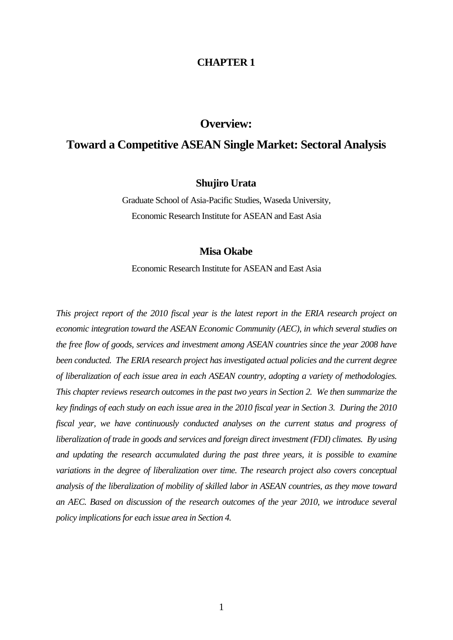#### **CHAPTER 1**

### **Overview:**

## **Toward a Competitive ASEAN Single Market: Sectoral Analysis**

#### **Shujiro Urata**

Graduate School of Asia-Pacific Studies, Waseda University, Economic Research Institute for ASEAN and East Asia

#### **Misa Okabe**

Economic Research Institute for ASEAN and East Asia

*This project report of the 2010 fiscal year is the latest report in the ERIA research project on economic integration toward the ASEAN Economic Community (AEC), in which several studies on the free flow of goods, services and investment among ASEAN countries since the year 2008 have been conducted. The ERIA research project has investigated actual policies and the current degree of liberalization of each issue area in each ASEAN country, adopting a variety of methodologies. This chapter reviews research outcomes in the past two years in Section 2. We then summarize the key findings of each study on each issue area in the 2010 fiscal year in Section 3. During the 2010 fiscal year, we have continuously conducted analyses on the current status and progress of liberalization of trade in goods and services and foreign direct investment (FDI) climates. By using and updating the research accumulated during the past three years, it is possible to examine variations in the degree of liberalization over time. The research project also covers conceptual analysis of the liberalization of mobility of skilled labor in ASEAN countries, as they move toward an AEC. Based on discussion of the research outcomes of the year 2010, we introduce several policy implications for each issue area in Section 4.*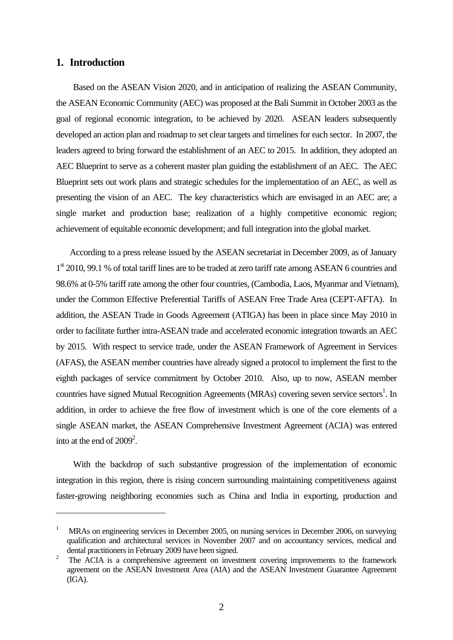#### **1. Introduction**

Based on the ASEAN Vision 2020, and in anticipation of realizing the ASEAN Community, the ASEAN Economic Community (AEC) was proposed at the Bali Summit in October 2003 as the goal of regional economic integration, to be achieved by 2020. ASEAN leaders subsequently developed an action plan and roadmap to set clear targets and timelines for each sector. In 2007, the leaders agreed to bring forward the establishment of an AEC to 2015. In addition, they adopted an AEC Blueprint to serve as a coherent master plan guiding the establishment of an AEC. The AEC Blueprint sets out work plans and strategic schedules for the implementation of an AEC, as well as presenting the vision of an AEC. The key characteristics which are envisaged in an AEC are; a single market and production base; realization of a highly competitive economic region; achievement of equitable economic development; and full integration into the global market.

According to a press release issued by the ASEAN secretariat in December 2009, as of January 1<sup>st</sup> 2010, 99.1 % of total tariff lines are to be traded at zero tariff rate among ASEAN 6 countries and 98.6% at 0-5% tariff rate among the other four countries, (Cambodia, Laos, Myanmar and Vietnam), under the Common Effective Preferential Tariffs of ASEAN Free Trade Area (CEPT-AFTA). In addition, the ASEAN Trade in Goods Agreement (ATIGA) has been in place since May 2010 in order to facilitate further intra-ASEAN trade and accelerated economic integration towards an AEC by 2015. With respect to service trade, under the ASEAN Framework of Agreement in Services (AFAS), the ASEAN member countries have already signed a protocol to implement the first to the eighth packages of service commitment by October 2010. Also, up to now, ASEAN member countries have signed Mutual Recognition Agreements (MRAs) covering seven service sectors<sup>1</sup>. In addition, in order to achieve the free flow of investment which is one of the core elements of a single ASEAN market, the ASEAN Comprehensive Investment Agreement (ACIA) was entered into at the end of  $2009^2$ .

With the backdrop of such substantive progression of the implementation of economic integration in this region, there is rising concern surrounding maintaining competitiveness against faster-growing neighboring economies such as China and India in exporting, production and

<sup>1</sup> MRAs on engineering services in December 2005, on nursing services in December 2006, on surveying qualification and architectural services in November 2007 and on accountancy services, medical and dental practitioners in February 2009 have been signed.

<sup>2</sup> The ACIA is a comprehensive agreement on investment covering improvements to the framework agreement on the ASEAN Investment Area (AIA) and the ASEAN Investment Guarantee Agreement (IGA).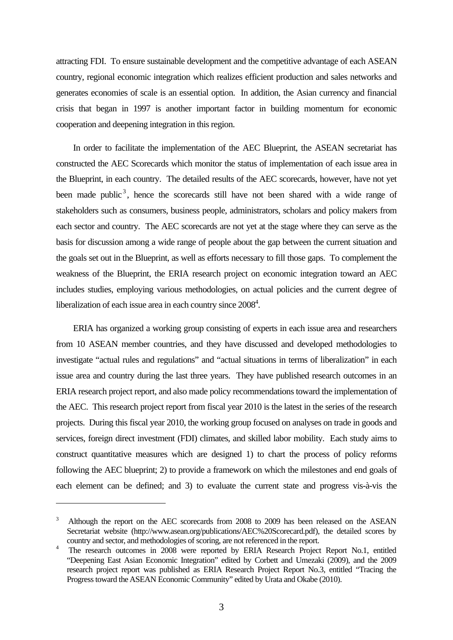attracting FDI. To ensure sustainable development and the competitive advantage of each ASEAN country, regional economic integration which realizes efficient production and sales networks and generates economies of scale is an essential option. In addition, the Asian currency and financial crisis that began in 1997 is another important factor in building momentum for economic cooperation and deepening integration in this region.

In order to facilitate the implementation of the AEC Blueprint, the ASEAN secretariat has constructed the AEC Scorecards which monitor the status of implementation of each issue area in the Blueprint, in each country. The detailed results of the AEC scorecards, however, have not yet been made public<sup>3</sup>, hence the scorecards still have not been shared with a wide range of stakeholders such as consumers, business people, administrators, scholars and policy makers from each sector and country. The AEC scorecards are not yet at the stage where they can serve as the basis for discussion among a wide range of people about the gap between the current situation and the goals set out in the Blueprint, as well as efforts necessary to fill those gaps. To complement the weakness of the Blueprint, the ERIA research project on economic integration toward an AEC includes studies, employing various methodologies, on actual policies and the current degree of liberalization of each issue area in each country since  $2008<sup>4</sup>$ .

ERIA has organized a working group consisting of experts in each issue area and researchers from 10 ASEAN member countries, and they have discussed and developed methodologies to investigate "actual rules and regulations" and "actual situations in terms of liberalization" in each issue area and country during the last three years. They have published research outcomes in an ERIA research project report, and also made policy recommendations toward the implementation of the AEC. This research project report from fiscal year 2010 is the latest in the series of the research projects. During this fiscal year 2010, the working group focused on analyses on trade in goods and services, foreign direct investment (FDI) climates, and skilled labor mobility. Each study aims to construct quantitative measures which are designed 1) to chart the process of policy reforms following the AEC blueprint; 2) to provide a framework on which the milestones and end goals of each element can be defined; and 3) to evaluate the current state and progress vis-à-vis the

<sup>3</sup> Although the report on the AEC scorecards from 2008 to 2009 has been released on the ASEAN Secretariat website (http://www.asean.org/publications/AEC%20Scorecard.pdf), the detailed scores by country and sector, and methodologies of scoring, are not referenced in the report.

<sup>&</sup>lt;sup>4</sup> The research outcomes in 2008 were reported by ERIA Research Project Report No.1, entitled "Deepening East Asian Economic Integration" edited by Corbett and Umezaki (2009), and the 2009 research project report was published as ERIA Research Project Report No.3, entitled "Tracing the Progress toward the ASEAN Economic Community" edited by Urata and Okabe (2010).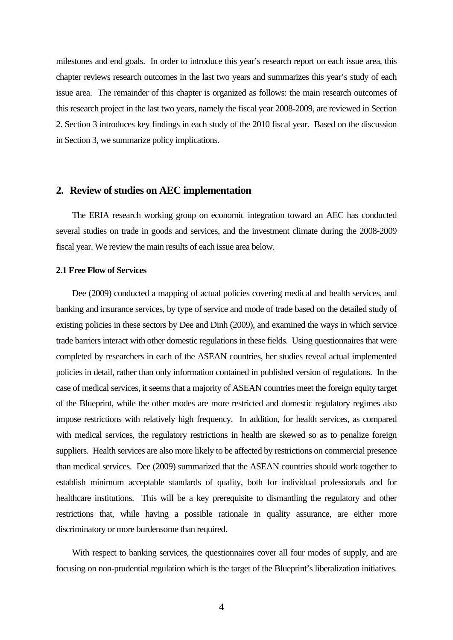milestones and end goals. In order to introduce this year's research report on each issue area, this chapter reviews research outcomes in the last two years and summarizes this year's study of each issue area. The remainder of this chapter is organized as follows: the main research outcomes of this research project in the last two years, namely the fiscal year 2008-2009, are reviewed in Section 2. Section 3 introduces key findings in each study of the 2010 fiscal year. Based on the discussion in Section 3, we summarize policy implications.

#### **2. Review of studies on AEC implementation**

The ERIA research working group on economic integration toward an AEC has conducted several studies on trade in goods and services, and the investment climate during the 2008-2009 fiscal year. We review the main results of each issue area below.

#### **2.1 Free Flow of Services**

Dee (2009) conducted a mapping of actual policies covering medical and health services, and banking and insurance services, by type of service and mode of trade based on the detailed study of existing policies in these sectors by Dee and Dinh (2009), and examined the ways in which service trade barriers interact with other domestic regulations in these fields. Using questionnaires that were completed by researchers in each of the ASEAN countries, her studies reveal actual implemented policies in detail, rather than only information contained in published version of regulations. In the case of medical services, it seems that a majority of ASEAN countries meet the foreign equity target of the Blueprint, while the other modes are more restricted and domestic regulatory regimes also impose restrictions with relatively high frequency. In addition, for health services, as compared with medical services, the regulatory restrictions in health are skewed so as to penalize foreign suppliers. Health services are also more likely to be affected by restrictions on commercial presence than medical services. Dee (2009) summarized that the ASEAN countries should work together to establish minimum acceptable standards of quality, both for individual professionals and for healthcare institutions. This will be a key prerequisite to dismantling the regulatory and other restrictions that, while having a possible rationale in quality assurance, are either more discriminatory or more burdensome than required.

With respect to banking services, the questionnaires cover all four modes of supply, and are focusing on non-prudential regulation which is the target of the Blueprint's liberalization initiatives.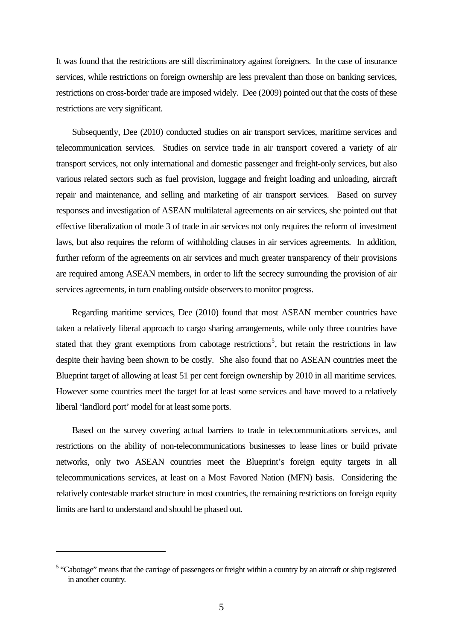It was found that the restrictions are still discriminatory against foreigners. In the case of insurance services, while restrictions on foreign ownership are less prevalent than those on banking services, restrictions on cross-border trade are imposed widely. Dee (2009) pointed out that the costs of these restrictions are very significant.

Subsequently, Dee (2010) conducted studies on air transport services, maritime services and telecommunication services. Studies on service trade in air transport covered a variety of air transport services, not only international and domestic passenger and freight-only services, but also various related sectors such as fuel provision, luggage and freight loading and unloading, aircraft repair and maintenance, and selling and marketing of air transport services. Based on survey responses and investigation of ASEAN multilateral agreements on air services, she pointed out that effective liberalization of mode 3 of trade in air services not only requires the reform of investment laws, but also requires the reform of withholding clauses in air services agreements. In addition, further reform of the agreements on air services and much greater transparency of their provisions are required among ASEAN members, in order to lift the secrecy surrounding the provision of air services agreements, in turn enabling outside observers to monitor progress.

Regarding maritime services, Dee (2010) found that most ASEAN member countries have taken a relatively liberal approach to cargo sharing arrangements, while only three countries have stated that they grant exemptions from cabotage restrictions<sup>5</sup>, but retain the restrictions in law despite their having been shown to be costly. She also found that no ASEAN countries meet the Blueprint target of allowing at least 51 per cent foreign ownership by 2010 in all maritime services. However some countries meet the target for at least some services and have moved to a relatively liberal 'landlord port' model for at least some ports.

Based on the survey covering actual barriers to trade in telecommunications services, and restrictions on the ability of non-telecommunications businesses to lease lines or build private networks, only two ASEAN countries meet the Blueprint's foreign equity targets in all telecommunications services, at least on a Most Favored Nation (MFN) basis. Considering the relatively contestable market structure in most countries, the remaining restrictions on foreign equity limits are hard to understand and should be phased out.

<sup>&</sup>lt;sup>5</sup> "Cabotage" means that the carriage of passengers or freight within a country by an aircraft or ship registered in another country.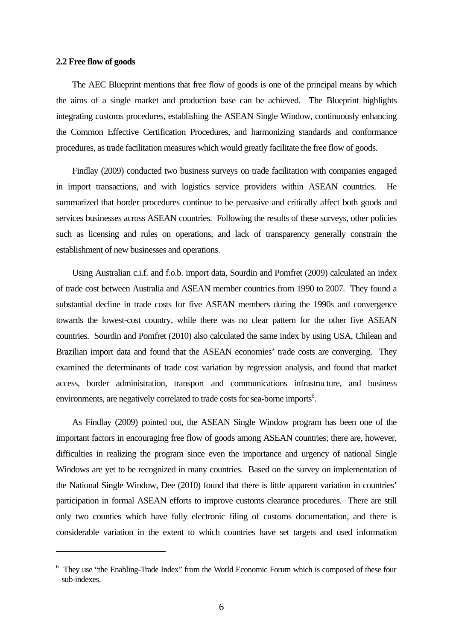#### **2.2 Free flow of goods**

The AEC Blueprint mentions that free flow of goods is one of the principal means by which the aims of a single market and production base can be achieved. The Blueprint highlights integrating customs procedures, establishing the ASEAN Single Window, continuously enhancing the Common Effective Certification Procedures, and harmonizing standards and conformance procedures, as trade facilitation measures which would greatly facilitate the free flow of goods.

Findlay (2009) conducted two business surveys on trade facilitation with companies engaged in import transactions, and with logistics service providers within ASEAN countries. He summarized that border procedures continue to be pervasive and critically affect both goods and services businesses across ASEAN countries. Following the results of these surveys, other policies such as licensing and rules on operations, and lack of transparency generally constrain the establishment of new businesses and operations.

Using Australian c.i.f. and f.o.b. import data, Sourdin and Pomfret (2009) calculated an index of trade cost between Australia and ASEAN member countries from 1990 to 2007. They found a substantial decline in trade costs for five ASEAN members during the 1990s and convergence towards the lowest-cost country, while there was no clear pattern for the other five ASEAN countries. Sourdin and Pomfret (2010) also calculated the same index by using USA, Chilean and Brazilian import data and found that the ASEAN economies' trade costs are converging. They examined the determinants of trade cost variation by regression analysis, and found that market access, border administration, transport and communications infrastructure, and business environments, are negatively correlated to trade costs for sea-borne imports<sup>6</sup>.

As Findlay (2009) pointed out, the ASEAN Single Window program has been one of the important factors in encouraging free flow of goods among ASEAN countries; there are, however, difficulties in realizing the program since even the importance and urgency of national Single Windows are yet to be recognized in many countries. Based on the survey on implementation of the National Single Window, Dee (2010) found that there is little apparent variation in countries' participation in formal ASEAN efforts to improve customs clearance procedures. There are still only two counties which have fully electronic filing of customs documentation, and there is considerable variation in the extent to which countries have set targets and used information

<sup>&</sup>lt;sup>6</sup> They use "the Enabling-Trade Index" from the World Economic Forum which is composed of these four sub-indexes.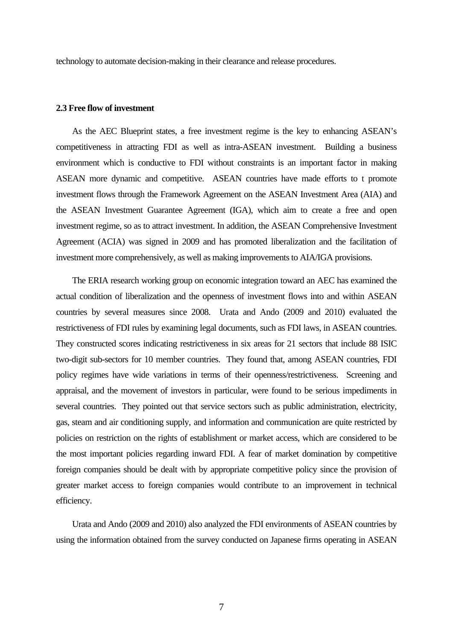technology to automate decision-making in their clearance and release procedures.

#### **2.3 Free flow of investment**

As the AEC Blueprint states, a free investment regime is the key to enhancing ASEAN's competitiveness in attracting FDI as well as intra-ASEAN investment. Building a business environment which is conductive to FDI without constraints is an important factor in making ASEAN more dynamic and competitive. ASEAN countries have made efforts to t promote investment flows through the Framework Agreement on the ASEAN Investment Area (AIA) and the ASEAN Investment Guarantee Agreement (IGA), which aim to create a free and open investment regime, so as to attract investment. In addition, the ASEAN Comprehensive Investment Agreement (ACIA) was signed in 2009 and has promoted liberalization and the facilitation of investment more comprehensively, as well as making improvements to AIA/IGA provisions.

The ERIA research working group on economic integration toward an AEC has examined the actual condition of liberalization and the openness of investment flows into and within ASEAN countries by several measures since 2008. Urata and Ando (2009 and 2010) evaluated the restrictiveness of FDI rules by examining legal documents, such as FDI laws, in ASEAN countries. They constructed scores indicating restrictiveness in six areas for 21 sectors that include 88 ISIC two-digit sub-sectors for 10 member countries. They found that, among ASEAN countries, FDI policy regimes have wide variations in terms of their openness/restrictiveness. Screening and appraisal, and the movement of investors in particular, were found to be serious impediments in several countries. They pointed out that service sectors such as public administration, electricity, gas, steam and air conditioning supply, and information and communication are quite restricted by policies on restriction on the rights of establishment or market access, which are considered to be the most important policies regarding inward FDI. A fear of market domination by competitive foreign companies should be dealt with by appropriate competitive policy since the provision of greater market access to foreign companies would contribute to an improvement in technical efficiency.

Urata and Ando (2009 and 2010) also analyzed the FDI environments of ASEAN countries by using the information obtained from the survey conducted on Japanese firms operating in ASEAN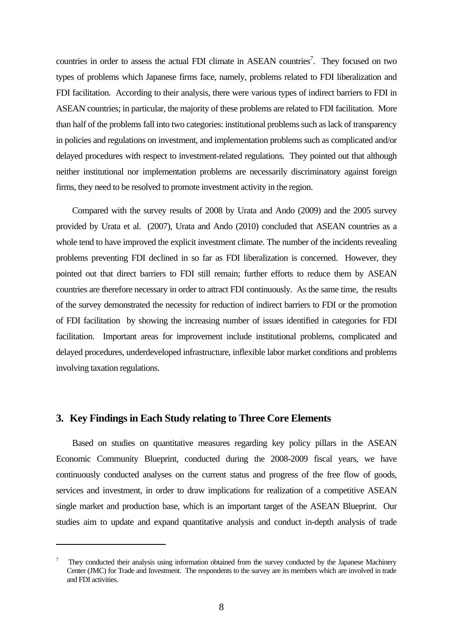countries in order to assess the actual FDI climate in ASEAN countries<sup>7</sup>. They focused on two types of problems which Japanese firms face, namely, problems related to FDI liberalization and FDI facilitation. According to their analysis, there were various types of indirect barriers to FDI in ASEAN countries; in particular, the majority of these problems are related to FDI facilitation. More than half of the problems fall into two categories: institutional problems such as lack of transparency in policies and regulations on investment, and implementation problems such as complicated and/or delayed procedures with respect to investment-related regulations. They pointed out that although neither institutional nor implementation problems are necessarily discriminatory against foreign firms, they need to be resolved to promote investment activity in the region.

Compared with the survey results of 2008 by Urata and Ando (2009) and the 2005 survey provided by Urata et al. (2007), Urata and Ando (2010) concluded that ASEAN countries as a whole tend to have improved the explicit investment climate. The number of the incidents revealing problems preventing FDI declined in so far as FDI liberalization is concerned. However, they pointed out that direct barriers to FDI still remain; further efforts to reduce them by ASEAN countries are therefore necessary in order to attract FDI continuously. As the same time, the results of the survey demonstrated the necessity for reduction of indirect barriers to FDI or the promotion of FDI facilitation by showing the increasing number of issues identified in categories for FDI facilitation. Important areas for improvement include institutional problems, complicated and delayed procedures, underdeveloped infrastructure, inflexible labor market conditions and problems involving taxation regulations.

#### **3. Key Findings in Each Study relating to Three Core Elements**

Based on studies on quantitative measures regarding key policy pillars in the ASEAN Economic Community Blueprint, conducted during the 2008-2009 fiscal years, we have continuously conducted analyses on the current status and progress of the free flow of goods, services and investment, in order to draw implications for realization of a competitive ASEAN single market and production base, which is an important target of the ASEAN Blueprint. Our studies aim to update and expand quantitative analysis and conduct in-depth analysis of trade

<sup>7</sup> They conducted their analysis using information obtained from the survey conducted by the Japanese Machinery Center (JMC) for Trade and Investment. The respondents to the survey are its members which are involved in trade and FDI activities.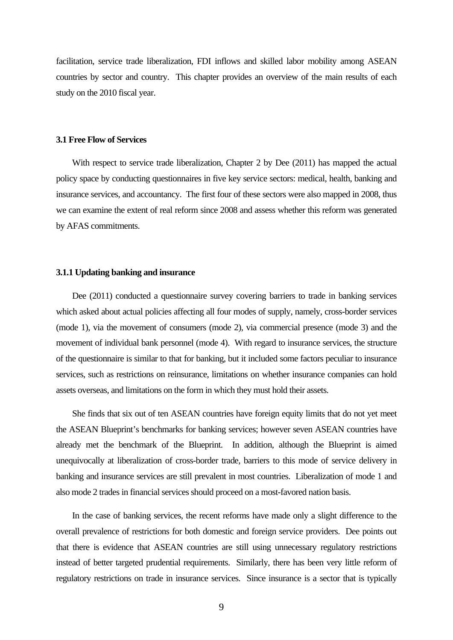facilitation, service trade liberalization, FDI inflows and skilled labor mobility among ASEAN countries by sector and country. This chapter provides an overview of the main results of each study on the 2010 fiscal year.

#### **3.1 Free Flow of Services**

With respect to service trade liberalization, Chapter 2 by Dee (2011) has mapped the actual policy space by conducting questionnaires in five key service sectors: medical, health, banking and insurance services, and accountancy. The first four of these sectors were also mapped in 2008, thus we can examine the extent of real reform since 2008 and assess whether this reform was generated by AFAS commitments.

#### **3.1.1 Updating banking and insurance**

Dee (2011) conducted a questionnaire survey covering barriers to trade in banking services which asked about actual policies affecting all four modes of supply, namely, cross-border services (mode 1), via the movement of consumers (mode 2), via commercial presence (mode 3) and the movement of individual bank personnel (mode 4). With regard to insurance services, the structure of the questionnaire is similar to that for banking, but it included some factors peculiar to insurance services, such as restrictions on reinsurance, limitations on whether insurance companies can hold assets overseas, and limitations on the form in which they must hold their assets.

She finds that six out of ten ASEAN countries have foreign equity limits that do not yet meet the ASEAN Blueprint's benchmarks for banking services; however seven ASEAN countries have already met the benchmark of the Blueprint. In addition, although the Blueprint is aimed unequivocally at liberalization of cross-border trade, barriers to this mode of service delivery in banking and insurance services are still prevalent in most countries. Liberalization of mode 1 and also mode 2 trades in financial services should proceed on a most-favored nation basis.

In the case of banking services, the recent reforms have made only a slight difference to the overall prevalence of restrictions for both domestic and foreign service providers. Dee points out that there is evidence that ASEAN countries are still using unnecessary regulatory restrictions instead of better targeted prudential requirements. Similarly, there has been very little reform of regulatory restrictions on trade in insurance services. Since insurance is a sector that is typically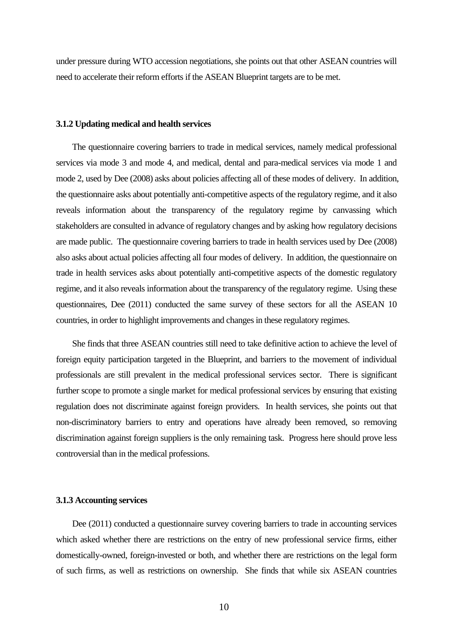under pressure during WTO accession negotiations, she points out that other ASEAN countries will need to accelerate their reform efforts if the ASEAN Blueprint targets are to be met.

#### **3.1.2 Updating medical and health services**

The questionnaire covering barriers to trade in medical services, namely medical professional services via mode 3 and mode 4, and medical, dental and para-medical services via mode 1 and mode 2, used by Dee (2008) asks about policies affecting all of these modes of delivery. In addition, the questionnaire asks about potentially anti-competitive aspects of the regulatory regime, and it also reveals information about the transparency of the regulatory regime by canvassing which stakeholders are consulted in advance of regulatory changes and by asking how regulatory decisions are made public. The questionnaire covering barriers to trade in health services used by Dee (2008) also asks about actual policies affecting all four modes of delivery. In addition, the questionnaire on trade in health services asks about potentially anti-competitive aspects of the domestic regulatory regime, and it also reveals information about the transparency of the regulatory regime. Using these questionnaires, Dee (2011) conducted the same survey of these sectors for all the ASEAN 10 countries, in order to highlight improvements and changes in these regulatory regimes.

She finds that three ASEAN countries still need to take definitive action to achieve the level of foreign equity participation targeted in the Blueprint, and barriers to the movement of individual professionals are still prevalent in the medical professional services sector. There is significant further scope to promote a single market for medical professional services by ensuring that existing regulation does not discriminate against foreign providers. In health services, she points out that non-discriminatory barriers to entry and operations have already been removed, so removing discrimination against foreign suppliers is the only remaining task. Progress here should prove less controversial than in the medical professions.

#### **3.1.3 Accounting services**

Dee (2011) conducted a questionnaire survey covering barriers to trade in accounting services which asked whether there are restrictions on the entry of new professional service firms, either domestically-owned, foreign-invested or both, and whether there are restrictions on the legal form of such firms, as well as restrictions on ownership. She finds that while six ASEAN countries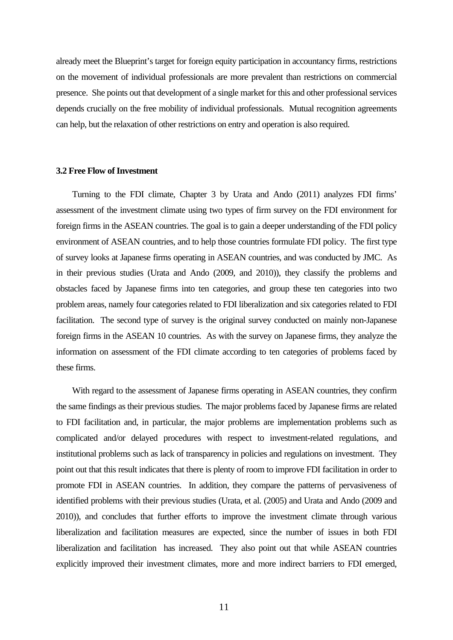already meet the Blueprint's target for foreign equity participation in accountancy firms, restrictions on the movement of individual professionals are more prevalent than restrictions on commercial presence. She points out that development of a single market for this and other professional services depends crucially on the free mobility of individual professionals. Mutual recognition agreements can help, but the relaxation of other restrictions on entry and operation is also required.

#### **3.2 Free Flow of Investment**

Turning to the FDI climate, Chapter 3 by Urata and Ando (2011) analyzes FDI firms' assessment of the investment climate using two types of firm survey on the FDI environment for foreign firms in the ASEAN countries. The goal is to gain a deeper understanding of the FDI policy environment of ASEAN countries, and to help those countries formulate FDI policy. The first type of survey looks at Japanese firms operating in ASEAN countries, and was conducted by JMC. As in their previous studies (Urata and Ando (2009, and 2010)), they classify the problems and obstacles faced by Japanese firms into ten categories, and group these ten categories into two problem areas, namely four categories related to FDI liberalization and six categories related to FDI facilitation. The second type of survey is the original survey conducted on mainly non-Japanese foreign firms in the ASEAN 10 countries. As with the survey on Japanese firms, they analyze the information on assessment of the FDI climate according to ten categories of problems faced by these firms.

With regard to the assessment of Japanese firms operating in ASEAN countries, they confirm the same findings as their previous studies. The major problems faced by Japanese firms are related to FDI facilitation and, in particular, the major problems are implementation problems such as complicated and/or delayed procedures with respect to investment-related regulations, and institutional problems such as lack of transparency in policies and regulations on investment. They point out that this result indicates that there is plenty of room to improve FDI facilitation in order to promote FDI in ASEAN countries. In addition, they compare the patterns of pervasiveness of identified problems with their previous studies (Urata, et al. (2005) and Urata and Ando (2009 and 2010)), and concludes that further efforts to improve the investment climate through various liberalization and facilitation measures are expected, since the number of issues in both FDI liberalization and facilitation has increased. They also point out that while ASEAN countries explicitly improved their investment climates, more and more indirect barriers to FDI emerged,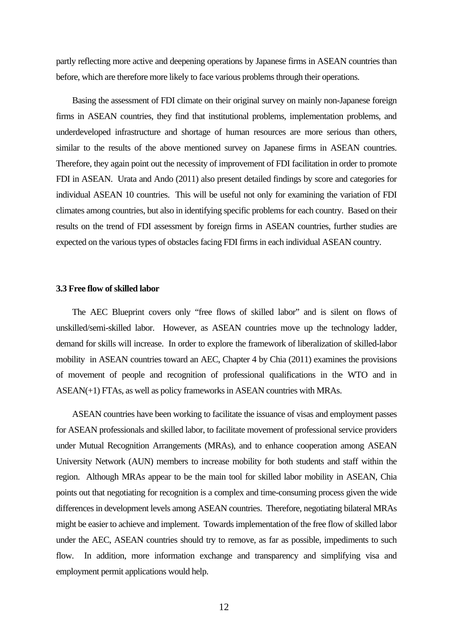partly reflecting more active and deepening operations by Japanese firms in ASEAN countries than before, which are therefore more likely to face various problems through their operations.

Basing the assessment of FDI climate on their original survey on mainly non-Japanese foreign firms in ASEAN countries, they find that institutional problems, implementation problems, and underdeveloped infrastructure and shortage of human resources are more serious than others, similar to the results of the above mentioned survey on Japanese firms in ASEAN countries. Therefore, they again point out the necessity of improvement of FDI facilitation in order to promote FDI in ASEAN. Urata and Ando (2011) also present detailed findings by score and categories for individual ASEAN 10 countries. This will be useful not only for examining the variation of FDI climates among countries, but also in identifying specific problems for each country. Based on their results on the trend of FDI assessment by foreign firms in ASEAN countries, further studies are expected on the various types of obstacles facing FDI firms in each individual ASEAN country.

#### **3.3 Free flow of skilled labor**

The AEC Blueprint covers only "free flows of skilled labor" and is silent on flows of unskilled/semi-skilled labor. However, as ASEAN countries move up the technology ladder, demand for skills will increase. In order to explore the framework of liberalization of skilled-labor mobility in ASEAN countries toward an AEC, Chapter 4 by Chia (2011) examines the provisions of movement of people and recognition of professional qualifications in the WTO and in ASEAN(+1) FTAs, as well as policy frameworks in ASEAN countries with MRAs.

ASEAN countries have been working to facilitate the issuance of visas and employment passes for ASEAN professionals and skilled labor, to facilitate movement of professional service providers under Mutual Recognition Arrangements (MRAs), and to enhance cooperation among ASEAN University Network (AUN) members to increase mobility for both students and staff within the region. Although MRAs appear to be the main tool for skilled labor mobility in ASEAN, Chia points out that negotiating for recognition is a complex and time-consuming process given the wide differences in development levels among ASEAN countries. Therefore, negotiating bilateral MRAs might be easier to achieve and implement. Towards implementation of the free flow of skilled labor under the AEC, ASEAN countries should try to remove, as far as possible, impediments to such flow. In addition, more information exchange and transparency and simplifying visa and employment permit applications would help.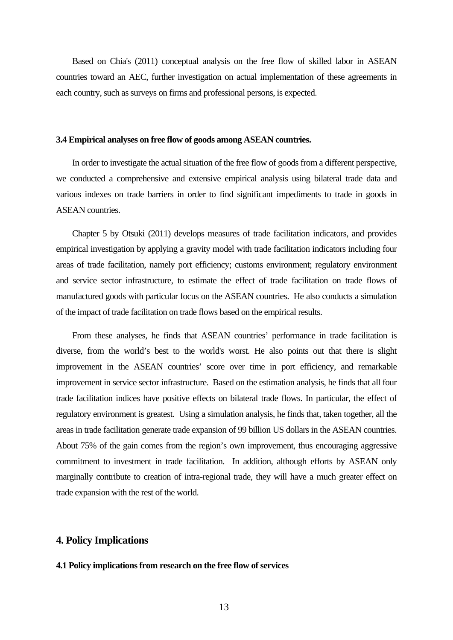Based on Chia's (2011) conceptual analysis on the free flow of skilled labor in ASEAN countries toward an AEC, further investigation on actual implementation of these agreements in each country, such as surveys on firms and professional persons, is expected.

#### **3.4 Empirical analyses on free flow of goods among ASEAN countries.**

In order to investigate the actual situation of the free flow of goods from a different perspective, we conducted a comprehensive and extensive empirical analysis using bilateral trade data and various indexes on trade barriers in order to find significant impediments to trade in goods in ASEAN countries.

Chapter 5 by Otsuki (2011) develops measures of trade facilitation indicators, and provides empirical investigation by applying a gravity model with trade facilitation indicators including four areas of trade facilitation, namely port efficiency; customs environment; regulatory environment and service sector infrastructure, to estimate the effect of trade facilitation on trade flows of manufactured goods with particular focus on the ASEAN countries. He also conducts a simulation of the impact of trade facilitation on trade flows based on the empirical results.

From these analyses, he finds that ASEAN countries' performance in trade facilitation is diverse, from the world's best to the world's worst. He also points out that there is slight improvement in the ASEAN countries' score over time in port efficiency, and remarkable improvement in service sector infrastructure. Based on the estimation analysis, he finds that all four trade facilitation indices have positive effects on bilateral trade flows. In particular, the effect of regulatory environment is greatest. Using a simulation analysis, he finds that, taken together, all the areas in trade facilitation generate trade expansion of 99 billion US dollars in the ASEAN countries. About 75% of the gain comes from the region's own improvement, thus encouraging aggressive commitment to investment in trade facilitation. In addition, although efforts by ASEAN only marginally contribute to creation of intra-regional trade, they will have a much greater effect on trade expansion with the rest of the world.

#### **4. Policy Implications**

#### **4.1 Policy implications from research on the free flow of services**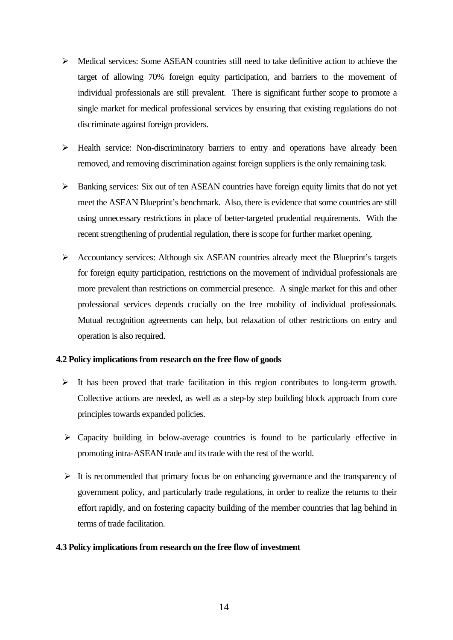- $\triangleright$  Medical services: Some ASEAN countries still need to take definitive action to achieve the target of allowing 70% foreign equity participation, and barriers to the movement of individual professionals are still prevalent. There is significant further scope to promote a single market for medical professional services by ensuring that existing regulations do not discriminate against foreign providers.
- ¾ Health service: Non-discriminatory barriers to entry and operations have already been removed, and removing discrimination against foreign suppliers is the only remaining task.
- ¾ Banking services: Six out of ten ASEAN countries have foreign equity limits that do not yet meet the ASEAN Blueprint's benchmark. Also, there is evidence that some countries are still using unnecessary restrictions in place of better-targeted prudential requirements. With the recent strengthening of prudential regulation, there is scope for further market opening.
- ¾ Accountancy services: Although six ASEAN countries already meet the Blueprint's targets for foreign equity participation, restrictions on the movement of individual professionals are more prevalent than restrictions on commercial presence. A single market for this and other professional services depends crucially on the free mobility of individual professionals. Mutual recognition agreements can help, but relaxation of other restrictions on entry and operation is also required.

#### **4.2 Policy implications from research on the free flow of goods**

- $\triangleright$  It has been proved that trade facilitation in this region contributes to long-term growth. Collective actions are needed, as well as a step-by step building block approach from core principles towards expanded policies.
- $\triangleright$  Capacity building in below-average countries is found to be particularly effective in promoting intra-ASEAN trade and its trade with the rest of the world.
- $\triangleright$  It is recommended that primary focus be on enhancing governance and the transparency of government policy, and particularly trade regulations, in order to realize the returns to their effort rapidly, and on fostering capacity building of the member countries that lag behind in terms of trade facilitation.

#### **4.3 Policy implications from research on the free flow of investment**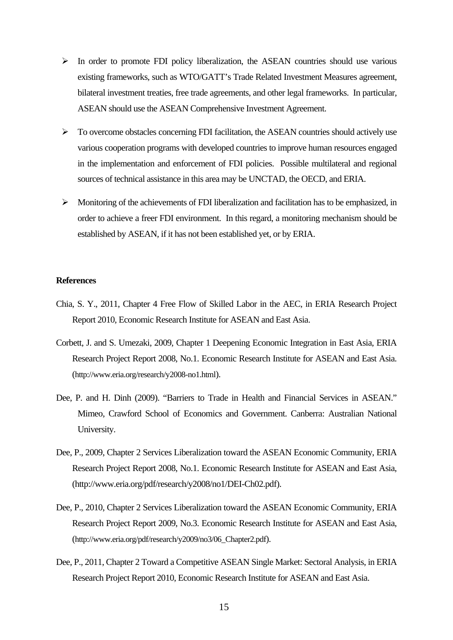- $\triangleright$  In order to promote FDI policy liberalization, the ASEAN countries should use various existing frameworks, such as WTO/GATT's Trade Related Investment Measures agreement, bilateral investment treaties, free trade agreements, and other legal frameworks. In particular, ASEAN should use the ASEAN Comprehensive Investment Agreement.
- ¾ To overcome obstacles concerning FDI facilitation, the ASEAN countries should actively use various cooperation programs with developed countries to improve human resources engaged in the implementation and enforcement of FDI policies. Possible multilateral and regional sources of technical assistance in this area may be UNCTAD, the OECD, and ERIA.
- $\triangleright$  Monitoring of the achievements of FDI liberalization and facilitation has to be emphasized, in order to achieve a freer FDI environment. In this regard, a monitoring mechanism should be established by ASEAN, if it has not been established yet, or by ERIA.

#### **References**

- Chia, S. Y., 2011, Chapter 4 Free Flow of Skilled Labor in the AEC, in ERIA Research Project Report 2010, Economic Research Institute for ASEAN and East Asia.
- Corbett, J. and S. Umezaki, 2009, Chapter 1 Deepening Economic Integration in East Asia, ERIA Research Project Report 2008, No.1. Economic Research Institute for ASEAN and East Asia. (http://www.eria.org/research/y2008-no1.html).
- Dee, P. and H. Dinh (2009). "Barriers to Trade in Health and Financial Services in ASEAN." Mimeo, Crawford School of Economics and Government. Canberra: Australian National University.
- Dee, P., 2009, Chapter 2 Services Liberalization toward the ASEAN Economic Community, ERIA Research Project Report 2008, No.1. Economic Research Institute for ASEAN and East Asia, (http://www.eria.org/pdf/research/y2008/no1/DEI-Ch02.pdf).
- Dee, P., 2010, Chapter 2 Services Liberalization toward the ASEAN Economic Community, ERIA Research Project Report 2009, No.3. Economic Research Institute for ASEAN and East Asia, (http://www.eria.org/pdf/research/y2009/no3/06\_Chapter2.pdf).
- Dee, P., 2011, Chapter 2 Toward a Competitive ASEAN Single Market: Sectoral Analysis, in ERIA Research Project Report 2010, Economic Research Institute for ASEAN and East Asia.